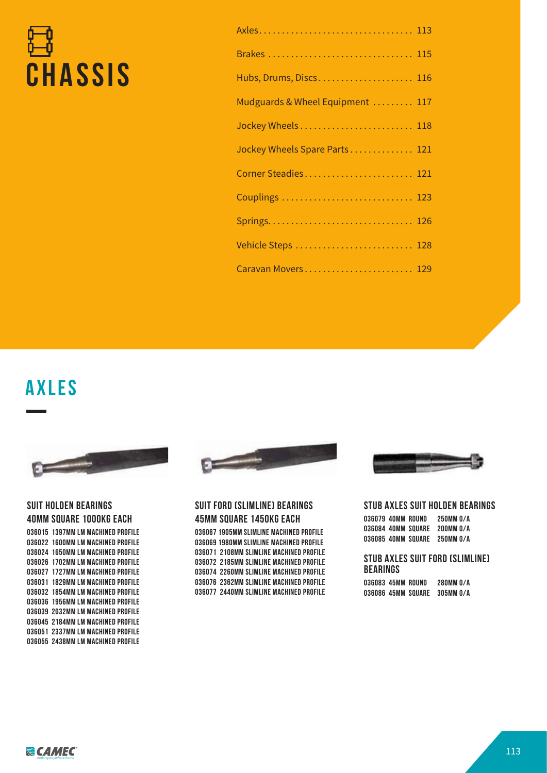# **CHASSIS**

| Brakes  115                      |
|----------------------------------|
| Hubs, Drums, Discs 116           |
| Mudguards & Wheel Equipment  117 |
|                                  |
| Jockey Wheels Spare Parts 121    |
| Corner Steadies 121              |
| Couplings  123                   |
|                                  |
| Vehicle Steps  128               |
| Caravan Movers 129               |

**Axles**



#### **SUIT HOLDEN BEARINGS 40MM SQUARE 1000KG EACH**

| 036015 1397MM LM MACHINED PROFILE  |
|------------------------------------|
| 036022 1600MM LM MACHINED PROFILE  |
| 036024 1650MM LM MACHINED PROFILE  |
| 036026  1702MM LM MACHINED PROFILE |
| 036027  1727MM LM MACHINED PROFILE |
| 036031  1829MM LM MACHINED PROFILE |
| 036032  1854MM LM MACHINED PROFILE |
| 036036  1956MM LM MACHINED PROFILE |
| 036039  2032MM LM MACHINED PROFILE |
| 036045  2184MM LM MACHINED PROFILE |
| 036051 2337MM LM MACHINED PROFILE  |
| 036055  2438MM LM MACHINED PROFILE |



#### **SUIT FORD (SLIMLINE) BEARINGS 45MM SQUARE 1450KG EACH**

**036067 1905MM SLIMLINE MACHINED PROFILE 036069 1980MM SLIMLINE MACHINED PROFILE 036071 2108MM SLIMLINE MACHINED PROFILE 036072 2185MM SLIMLINE MACHINED PROFILE 036074 2260MM SLIMLINE MACHINED PROFILE 036076 2362MM SLIMLINE MACHINED PROFILE 036077 2440MM SLIMLINE MACHINED PROFILE**



#### **STUB AXLES SUIT HOLDEN BEARINGS**

| 036079 40MM ROUND |                    | 250MM 0/A |
|-------------------|--------------------|-----------|
|                   | 036084 40MM SOUARE | 200MM 0/A |
|                   | 036085 40MM SOUARE | 250MM 0/A |

#### **STUB AXLES SUIT FORD (SLIMLINE) BEARINGS**

**036083 45MM ROUND 280MM O/A 036086 45MM SQUARE 305MM O/A**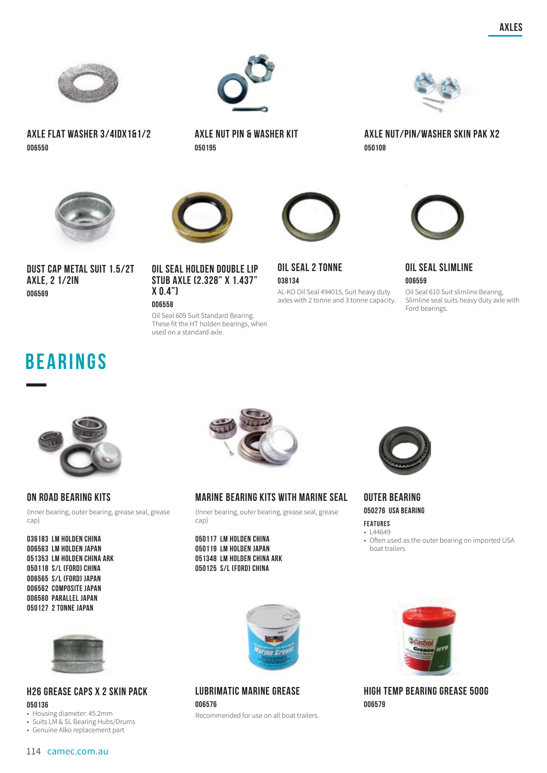

**AXLE FLAT WASHER 3/4IDX1&1/2 006550**



**DUST CAP METAL SUIT 1.5/2T AXLE, 2 1/2IN 006569**



**AXLE NUT PIN & WASHER KIT 050195**





Oil Seal 609 Suit Standard Bearing. These fit the HT holden bearings, when used on a standard axle.



**OIL SEAL 2 TONNE 038134** AL-KO Oil Seal 494015, Suit heavy duty

axles with 2 tonne and 3 tonne capacity.



**AXLE NUT/PIN/WASHER SKIN PAK X2**

**050108**



Oil Seal 610 Suit slimline Bearing, Slimline seal suits heavy duty axle with Ford bearings.

### **BEARINGS**



#### **ON ROAD BEARING KITS**

(Inner bearing, outer bearing, grease seal, grease cap)

**036183 LM HOLDEN CHINA 006563 LM HOLDEN JAPAN 051353 LM HOLDEN CHINA ARK 050118 S/L (FORD) CHINA 006565 S/L (FORD) JAPAN 006562 COMPOSITE JAPAN 006560 PARALLEL JAPAN 050127 2 TONNE JAPAN**



#### **MARINE BEARING KITS WITH MARINE SEAL**

(Inner bearing, outer bearing, grease seal, grease cap)

**050117 LM HOLDEN CHINA 050119 LM HOLDEN JAPAN 051348 LM HOLDEN CHINA ARK 050125 S/L (FORD) CHINA**



**OUTER BEARING 050276 USA BEARING**

#### **FEATURES**  $\cdot$  | 44649

• Often used as the outer bearing on imported USA boat trailers



#### **H26 GREASE CAPS X 2 SKIN PACK 050136**

• Housing diameter: 45.2mm

- Suits LM & SL Bearing Hubs/Drums
- Genuine Alko replacement part



#### **LUBRIMATIC MARINE GREASE 006576**

Recommended for use on all boat trailers.



**HIGH TEMP BEARING GREASE 500G 006579**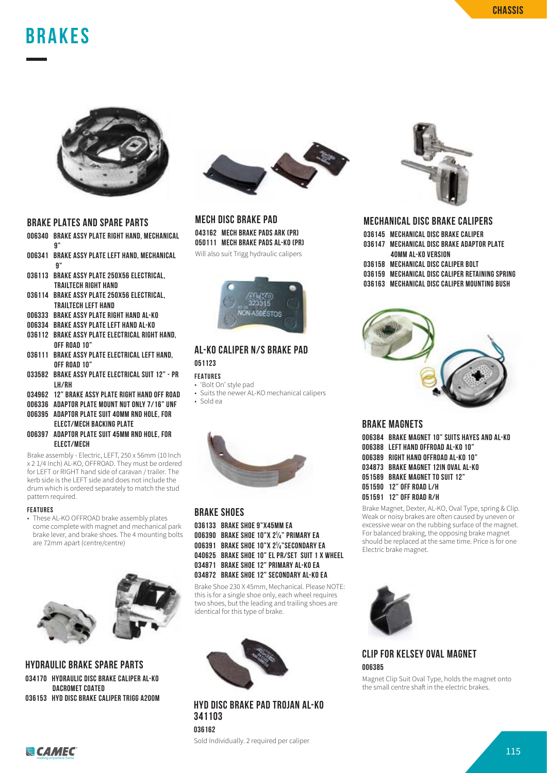### **BRAKES**



#### **BRAKE PLATES AND SPARE PARTS**

- **006340 BRAKE ASSY PLATE RIGHT HAND, MECHANICAL 9"**
- **006341 BRAKE ASSY PLATE LEFT HAND, MECHANICAL 9"**
- **036113 BRAKE ASSY PLATE 250X56 ELECTRICAL, TRAILTECH RIGHT HAND**
- **036114 BRAKE ASSY PLATE 250X56 ELECTRICAL, TRAILTECH LEFT HAND**
- **006333 BRAKE ASSY PLATE RIGHT HAND AL-KO**
- **006334 BRAKE ASSY PLATE LEFT HAND AL-KO**
- **036112 BRAKE ASSY PLATE ELECTRICAL RIGHT HAND, OFF ROAD 10"**
- **036111 BRAKE ASSY PLATE ELECTRICAL LEFT HAND, OFF ROAD 10"**
- **033582 BRAKE ASSY PLATE ELECTRICAL SUIT 12" PR LH/RH**
- **034962 12" BRAKE ASSY PLATE RIGHT HAND OFF ROAD**
- **006336 ADAPTOR PLATE MOUNT NUT ONLY 7/16" UNF**
- **006395 ADAPTOR PLATE SUIT 40MM RND HOLE, FOR**
- **ELECT/MECH BACKING PLATE 006397 ADAPTOR PLATE SUIT 45MM RND HOLE, FOR**
- **ELECT/MECH**

Brake assembly - Electric, LEFT, 250 x 56mm (10 Inch x 2 1/4 Inch) AL-KO, OFFROAD. They must be ordered for LEFT or RIGHT hand side of caravan / trailer. The kerb side is the LEFT side and does not include the drum which is ordered separately to match the stud pattern required.

#### **FEATURES**

• These AL-KO OFFROAD brake assembly plates come complete with magnet and mechanical park brake lever, and brake shoes. The 4 mounting bolts are 72mm apart (centre/centre)



**HYDRAULIC BRAKE SPARE PARTS 034170 HYDRAULIC DISC BRAKE CALIPER AL-KO DACROMET COATED 036153 HYD DISC BRAKE CALIPER TRIGG A200M**



#### **MECH DISC BRAKE PAD**

**043162 MECH BRAKE PADS ARK (PR) 050111 MECH BRAKE PADS AL-KO (PR)**

Will also suit Trigg hydraulic calipers



#### **AL-KO CALIPER N/S BRAKE PAD 051123**

#### **FEATURES**

- 'Bolt On' style pad
- Suits the newer AL-KO mechanical calipers • Sold ea



#### **BRAKE SHOES**

**036133 BRAKE SHOE 9"X45MM EA 006390 BRAKE SHOE 10"X 2¹⁄₄" PRIMARY EA 006391 BRAKE SHOE 10"X 2¹⁄₄"SECONDARY EA 040625 BRAKE SHOE 10" EL PR/SET SUIT 1 X WHEEL 034871 BRAKE SHOE 12" PRIMARY AL-KO EA 034872 BRAKE SHOE 12" SECONDARY AL-KO EA**

Brake Shoe 230 X 45mm, Mechanical. Please NOTE: this is for a single shoe only, each wheel requires two shoes, but the leading and trailing shoes are identical for this type of brake.



**HYD DISC BRAKE PAD TROJAN AL-KO 341103 036162** 

Sold Individually. 2 required per caliper



#### **MECHANICAL DISC BRAKE CALIPERS**

**036145 MECHANICAL DISC BRAKE CALIPER 036147 MECHANICAL DISC BRAKE ADAPTOR PLATE 40MM AL-KO VERSION 036158 MECHANICAL DISC CALIPER BOLT 036159 MECHANICAL DISC CALIPER RETAINING SPRING 036163 MECHANICAL DISC CALIPER MOUNTING BUSH**



#### **BRAKE MAGNETS**

**006384 BRAKE MAGNET 10" SUITS HAYES AND AL-KO 006388 LEFT HAND OFFROAD AL-KO 10" 006389 RIGHT HAND OFFROAD AL-KO 10" 034873 BRAKE MAGNET 12IN OVAL AL-KO 051589 BRAKE MAGNET TO SUIT 12" 051590 12" OFF ROAD L/H 051591 12" OFF ROAD R/H**

Brake Magnet, Dexter, AL-KO, Oval Type, spring & Clip. Weak or noisy brakes are often caused by uneven or excessive wear on the rubbing surface of the magnet. For balanced braking, the opposing brake magnet should be replaced at the same time. Price is for one Electric brake magnet.



#### **CLIP FOR KELSEY OVAL MAGNET 006385**

Magnet Clip Suit Oval Type, holds the magnet onto the small centre shaft in the electric brakes.

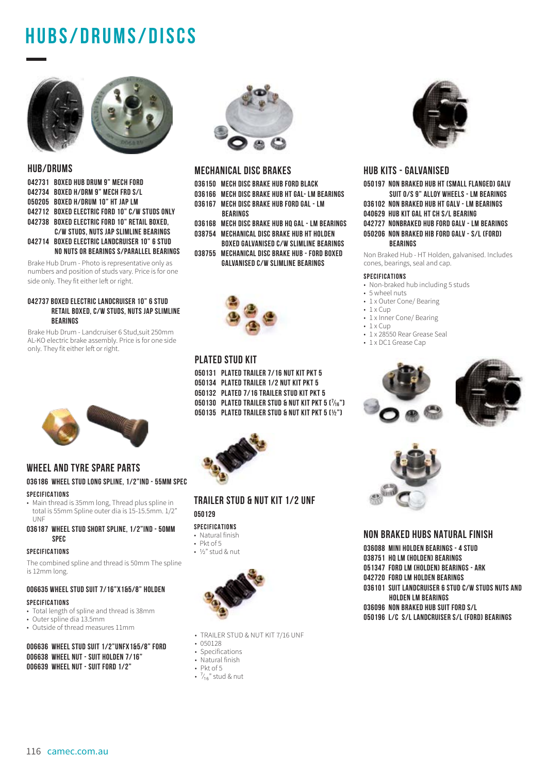### **HUBS/drums/discs**



#### **HUB/DRUMS**

**042731 BOXED HUB DRUM 9" MECH FORD 042734 BOXED H/DRM 9" MECH FRD S/L 050205 BOXED H/DRUM 10" HT JAP LM 042712 BOXED ELECTRIC FORD 10" C/W STUDS ONLY 042738 BOXED ELECTRIC FORD 10" RETAIL BOXED, C/W STUDS, NUTS JAP SLIMLINE BEARINGS 042714 BOXED ELECTRIC LANDCRUISER 10" 6 STUD NO NUTS OR BEARINGS S/PARALLEL BEARINGS**

Brake Hub Drum - Photo is representative only as numbers and position of studs vary. Price is for one side only. They fit either left or right.

#### **042737 BOXED ELECTRIC LANDCRUISER 10" 6 STUD RETAIL BOXED, C/W STUDS, NUTS JAP SLIMLINE BEARINGS**

Brake Hub Drum - Landcruiser 6 Stud,suit 250mm AL-KO electric brake assembly. Price is for one side only. They fit either left or right.



#### **WHEEL AND TYRE SPARE PARTS**

#### **036186 WHEEL STUD LONG SPLINE, 1/2"IND - 55MM SPEC SPECIFICATIONS**

• Main thread is 35mm long, Thread plus spline in total is 55mm Spline outer dia is 15-15.5mm. 1/2" UNF

#### **036187 WHEEL STUD SHORT SPLINE, 1/2"IND - 50MM SPEC**

#### **SPECIFICATIONS**

The combined spline and thread is 50mm The spline is 12mm long.

### **006635 WHEEL STUD SUIT 7/16"X1&5/8" HOLDEN**

- **SPECIFICATIONS**
- Total length of spline and thread is 38mm
- Outer spline dia 13.5mm
- Outside of thread measures 11mm

#### **006636 WHEEL STUD SUIT 1/2"UNFX1&5/8" FORD 006638 WHEEL NUT - SUIT HOLDEN 7/16" 006639 WHEEL NUT - SUIT FORD 1/2"**



#### **MECHANICAL DISC BRAKES**

- **036150 MECH DISC BRAKE HUB FORD BLACK 036166 MECH DISC BRAKE HUB HT GAL- LM BEARINGS**
- **036167 MECH DISC BRAKE HUB FORD GAL LM** 
	- **BEARINGS**
- **036168 MECH DISC BRAKE HUB HQ GAL LM BEARINGS 038754 MECHANICAL DISC BRAKE HUB HT HOLDEN**
- **BOXED GALVANISED C/W SLIMLINE BEARINGS**
- **038755 MECHANICAL DISC BRAKE HUB FORD BOXED GALVANISED C/W SLIMLINE BEARINGS**



#### **PLATED STUD KIT**

**050131 PLATED TRAILER 7/16 NUT KIT PKT 5 050134 PLATED TRAILER 1/2 NUT KIT PKT 5 050132 PLATED 7/16 TRAILER STUD KIT PKT 5 050130 PLATED TRAILER STUD & NUT KIT PKT 5 (⁷⁄₁₆") 050135 PLATED TRAILER STUD & NUT KIT PKT 5 (½")**



#### **TRAILER STUD & NUT KIT 1/2 UNF 050129**

#### **SPECIFICATIONS**

- Natural finish
- Pkt of 5
- ½" stud & nut



- TRAILER STUD & NUT KIT 7/16 UNF
- 050128
- Specifications
- Natural finish
- Pkt of 5
- $\frac{7}{16}$ " stud & nut



#### **HUB KITS - GALVANISED**

**050197 NON BRAKED HUB HT (SMALL FLANGED) GALV SUIT O/S 9" ALLOY WHEELS - LM BEARINGS 036102 NON BRAKED HUB HT GALV - LM BEARINGS 040629 HUB KIT GAL HT CH S/L BEARING 042727 NONBRAKED HUB FORD GALV - LM BEARINGS 050206 NON BRAKED HIB FORD GALV - S/L (FORD) BEARINGS**

Non Braked Hub - HT Holden, galvanised. Includes cones, bearings, seal and cap.

#### **SPECIFICATIONS**

- Non-braked hub including 5 studs
- 5 wheel nuts
- 1 x Outer Cone/ Bearing  $\cdot$  1 x Cup
- 1 x Inner Cone/ Bearing
- $\cdot$  1 x Cup
- 1 x 28550 Rear Grease Seal
- 1 x DC1 Grease Cap





#### **NON BRAKED HUBS NATURAL FINISH**

**036088 MINI HOLDEN BEARINGS - 4 STUD**

**038751 HQ LM (HOLDEN) BEARINGS**

**051347 FORD LM (HOLDEN) BEARINGS - ARK**

- **042720 FORD LM HOLDEN BEARINGS**
- **036101 SUIT LANDCRUISER 6 STUD C/W STUDS NUTS AND HOLDEN LM BEARINGS**

**036096 NON BRAKED HUB SUIT FORD S/L**

**050196 L/C S/L LANDCRUISER S/L (FORD) BEARINGS**

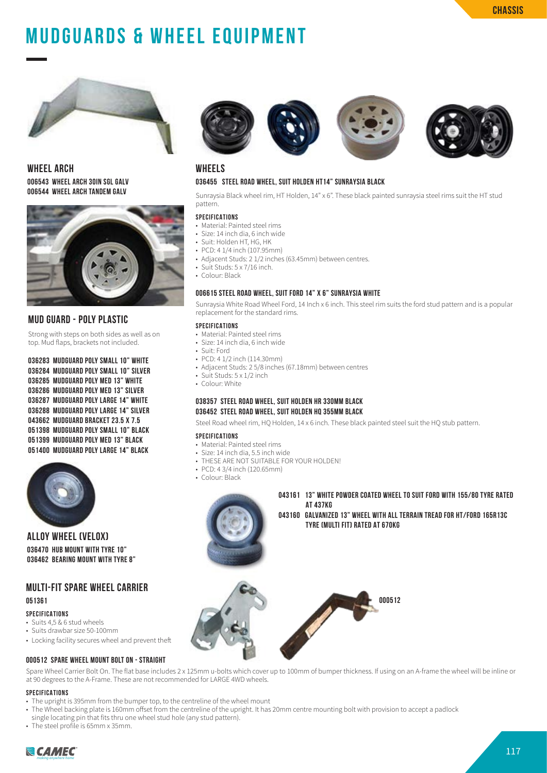## **MUDGUARDS & WHEEL EQUIPMENT**



**WHEEL ARCH 006543 WHEEL ARCH 30IN SGL GALV 006544 WHEEL ARCH TANDEM GALV**



#### **MUD GUARD - POLY PLASTIC**

Strong with steps on both sides as well as on top. Mud flaps, brackets not included.

**036283 MUDGUARD POLY SMALL 10" WHITE 036284 MUDGUARD POLY SMALL 10" SILVER 036285 MUDGUARD POLY MED 13" WHITE 036286 MUDGUARD POLY MED 13" SILVER 036287 MUDGUARD POLY LARGE 14" WHITE 036288 MUDGUARD POLY LARGE 14" SILVER 043662 MUDGUARD BRACKET 23.5 X 7.5 051398 MUDGUARD POLY SMALL 10" BLACK 051399 MUDGUARD POLY MED 13" BLACK 051400 MUDGUARD POLY LARGE 14" BLACK**



**ALLOY WHEEL (VELOX) 036470 HUB MOUNT WITH TYRE 10" 036462 BEARING MOUNT WITH TYRE 8"**

#### **MULTI-FIT SPARE WHEEL CARRIER 051361**

#### **SPECIFICATIONS**

- Suits 4,5 & 6 stud wheels
- Suits drawbar size 50-100mm
- Locking facility secures wheel and prevent theft

#### **000512 SPARE WHEEL MOUNT BOLT ON - STRAIGHT**

Spare Wheel Carrier Bolt On. The flat base includes 2 x 125mm u-bolts which cover up to 100mm of bumper thickness. If using on an A-frame the wheel will be inline or at 90 degrees to the A-Frame. These are not recommended for LARGE 4WD wheels.

#### **SPECIFICATIONS**

- The upright is 395mm from the bumper top, to the centreline of the wheel mount
- The Wheel backing plate is 160mm offset from the centreline of the upright. It has 20mm centre mounting bolt with provision to accept a padlock single locating pin that fits thru one wheel stud hole (any stud pattern).
- The steel profile is 65mm x 35mm.
- 



#### **WHEELS**

#### **036455 STEEL ROAD WHEEL, SUIT HOLDEN HT14" SUNRAYSIA BLACK**

Sunraysia Black wheel rim, HT Holden, 14" x 6". These black painted sunraysia steel rims suit the HT stud pattern.

#### **SPECIFICATIONS**

- Material: Painted steel rims
- Size: 14 inch dia, 6 inch wide
- Suit: Holden HT, HG, HK
- PCD: 4 1/4 inch (107.95mm)
- Adiacent Studs: 2 1/2 inches (63.45mm) between centres
- Suit Studs: 5 x 7/16 inch.
- Colour: Black

#### **006615 STEEL ROAD WHEEL, SUIT FORD 14" X 6" SUNRAYSIA WHITE**

Sunraysia White Road Wheel Ford, 14 Inch x 6 inch. This steel rim suits the ford stud pattern and is a popular replacement for the standard rims.

#### **SPECIFICATIONS**

- Material: Painted steel rims
- Size: 14 inch dia, 6 inch wide
- Suit: Ford
- PCD: 4 1/2 inch (114.30mm)
- Adjacent Studs: 2 5/8 inches (67.18mm) between centres
- Suit Studs: 5 x 1/2 inch
- Colour: White

#### **038357 STEEL ROAD WHEEL, SUIT HOLDEN HR 330MM BLACK 036452 STEEL ROAD WHEEL, SUIT HOLDEN HQ 355MM BLACK**

Steel Road wheel rim, HQ Holden, 14 x 6 inch. These black painted steel suit the HQ stub pattern.

#### **SPECIFICATIONS**

- Material: Painted steel rims
- Size: 14 inch dia, 5.5 inch wide
- THESE ARE NOT SUITABLE FOR YOUR HOLDEN!
- PCD: 4 3/4 inch (120.65mm)
- Colour: Black



**043161 13" WHITE POWDER COATED WHEEL TO SUIT FORD WITH 155/80 TYRE RATED AT 437KG 043160 GALVANIZED 13" WHEEL WITH ALL TERRAIN TREAD FOR HT/FORD 165R13C** 

 **TYRE (MULTI FIT) RATED AT 670KG**



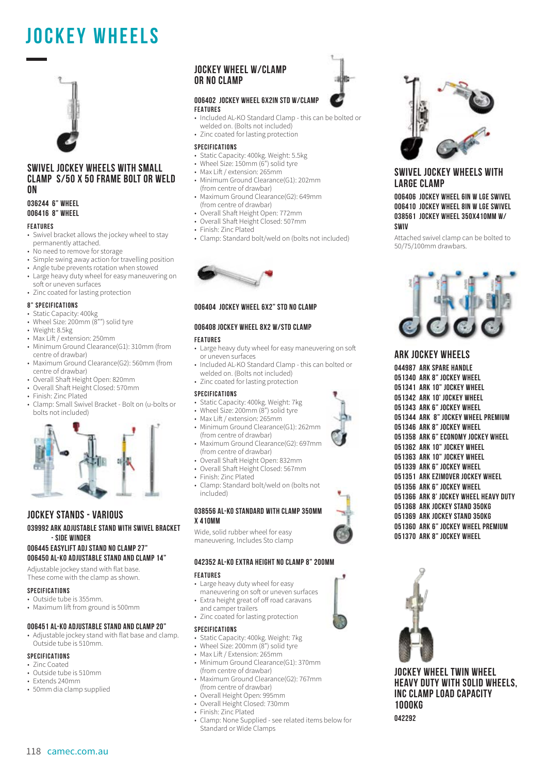### **JOCKEY WHEELS**



#### **SWIVEL JOCKEY WHEELS WITH SMALL CLAMP S/50 X 50 FRAME BOLT OR WELD ON**

#### **036244 6" WHEEL 006416 8" WHEEL**

#### **FEATURES**

- Swivel bracket allows the jockey wheel to stay permanently attached.
- No need to remove for storage
- Simple swing away action for travelling position
- Angle tube prevents rotation when stowed
- Large heavy duty wheel for easy maneuvering on soft or uneven surfaces
- Zinc coated for lasting protection

#### **8" SPECIFICATIONS**

- Static Capacity: 400kg
- Wheel Size: 200mm (8"") solid tyre
- Weight: 8.5kg
- Max Lift / extension: 250mm
- Minimum Ground Clearance(G1): 310mm (from centre of drawbar)
- Maximum Ground Clearance(G2): 560mm (from centre of drawbar)
- Overall Shaft Height Open: 820mm
- Overall Shaft Height Closed: 570mm
- Finish: Zinc Plated
- Clamp: Small Swivel Bracket Bolt on (u-bolts or bolts not included)



#### **JOCKEY STANDS - VARIOUS**

#### **039992 ARK ADJUSTABLE STAND WITH SWIVEL BRACKET - SIDE WINDER**

#### **006445 EASYLIFT ADJ STAND NO CLAMP 27" 006450 AL-KO ADJUSTABLE STAND AND CLAMP 14"**

Adjustable jockey stand with flat base. These come with the clamp as shown.

#### **SPECIFICATIONS**

- Outside tube is 355mm.
- Maximum lift from ground is 500mm

#### **006451 AL-KO ADJUSTABLE STAND AND CLAMP 20"**

• Adjustable jockey stand with flat base and clamp. Outside tube is 510mm.

#### **SPECIFICATIONS**

- Zinc Coated
- Outside tube is 510mm
- Extends 240mm
- 50mm dia clamp supplied

#### **JOCKEY WHEEL W/CLAMP OR NO CLAMP**

#### **006402 JOCKEY WHEEL 6X2IN STD W/CLAMP FEATURES**

- Included AL-KO Standard Clamp this can be bolted or welded on. (Bolts not included)
- Zinc coated for lasting protection

#### **SPECIFICATIONS**

- Static Capacity: 400kg. Weight: 5.5kg
- Wheel Size: 150mm (6") solid tyre
- Max Lift / extension: 265mm
- Minimum Ground Clearance(G1): 202mm (from centre of drawbar)
- Maximum Ground Clearance(G2): 649mm (from centre of drawbar)
- Overall Shaft Height Open: 772mm
- Overall Shaft Height Closed: 507mm
- Finish: Zinc Plated
- Clamp: Standard bolt/weld on (bolts not included)



#### **006404 JOCKEY WHEEL 6X2" STD NO CLAMP**

#### **006408 JOCKEY WHEEL 8X2 W/STD CLAMP**

#### **FEATURES**

- Large heavy duty wheel for easy maneuvering on soft or uneven surfaces
- Included AL-KO Standard Clamp this can bolted or welded on. (Bolts not included)
- Zinc coated for lasting protection

#### **SPECIFICATIONS**

- Static Capacity: 400kg. Weight: 7kg
- Wheel Size: 200mm (8") solid tyre
- Max Lift / extension: 265mm
- Minimum Ground Clearance(G1): 262mm (from centre of drawbar)
- Maximum Ground Clearance(G2): 697mm (from centre of drawbar)
- Overall Shaft Height Open: 832mm
- Overall Shaft Height Closed: 567mm
- Finish: Zinc Plated
- Clamp: Standard bolt/weld on (bolts not included)

#### **038556 AL-KO STANDARD WITH CLAMP 350MM X 410MM**

Wide, solid rubber wheel for easy maneuvering. Includes Sto clamp

#### **042352 AL-KO EXTRA HEIGHT NO CLAMP 8" 200MM**

#### **FEATURES**

- Large heavy duty wheel for easy maneuvering on soft or uneven surfaces
- Extra height great of off road caravans and camper trailers
- Zinc coated for lasting protection

#### **SPECIFICATIONS**

- Static Capacity: 400kg. Weight: 7kg
- Wheel Size: 200mm (8") solid tyre
- Max Lift / Extension: 265mm
- Minimum Ground Clearance(G1): 370mm (from centre of drawbar)
- Maximum Ground Clearance(G2): 767mm (from centre of drawbar)
- Overall Height Open: 995mm
- Overall Height Closed: 730mm
- Finish: Zinc Plated
- Clamp: None Supplied see related items below for Standard or Wide Clamps



#### **SWIVEL JOCKEY WHEELS WITH LARGE CLAMP**

**006406 JOCKEY WHEEL 6IN W LGE SWIVEL 006410 JOCKEY WHEEL 8IN W LGE SWIVEL 038561 JOCKEY WHEEL 350X410MM W/ SWIV**

Attached swivel clamp can be bolted to 50/75/100mm drawbars.



#### **ARK JOCKEY WHEELS**

**044987 ARK SPARE HANDLE 051340 ARK 8" JOCKEY WHEEL 051341 ARK 10" JOCKEY WHEEL 051342 ARK 10' JOCKEY WHEEL 051343 ARK 6" JOCKEY WHEEL 051344 ARK 8" JOCKEY WHEEL PREMIUM 051346 ARK 8" JOCKEY WHEEL 051358 ARK 6" ECONOMY JOCKEY WHEEL 051362 ARK 10" JOCKEY WHEEL 051363 ARK 10" JOCKEY WHEEL 051339 ARK 6" JOCKEY WHEEL 051351 ARK EZIMOVER JOCKEY WHEEL 051356 ARK 6" JOCKEY WHEEL 051366 ARK 8' JOCKEY WHEEL HEAVY DUTY 051368 ARK JOCKEY STAND 350KG 051369 ARK JOCKEY STAND 350KG 051360 ARK 6" JOCKEY WHEEL PREMIUM 051370 ARK 8" JOCKEY WHEEL**



**JOCKEY WHEEL TWIN WHEEL HEAVY DUTY WITH SOLID WHEELS, INC CLAMP LOAD CAPACITY 1000KG 042292**







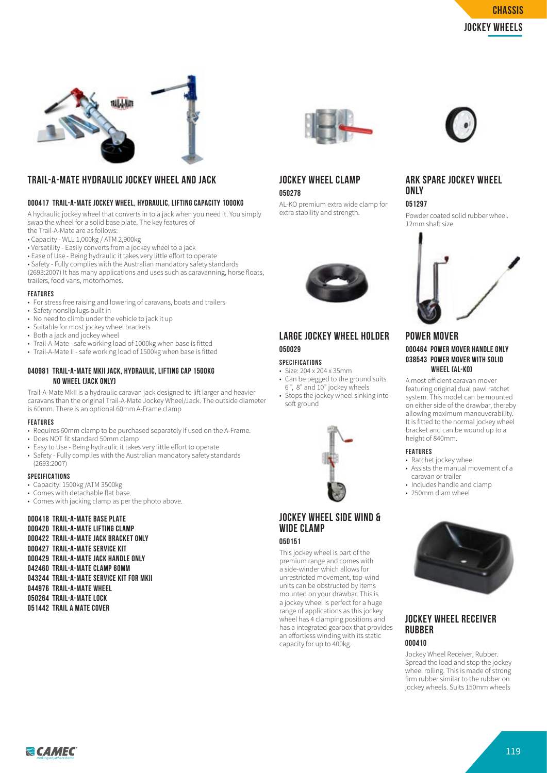

#### **TRAIL-A-MATE HYDRAULIC JOCKEY WHEEL AND JACK**

#### **000417 TRAIL-A-MATE JOCKEY WHEEL, HYDRAULIC, LIFTING CAPACITY 1000KG**

A hydraulic jockey wheel that converts in to a jack when you need it. You simply swap the wheel for a solid base plate. The key features of the Trail-A-Mate are as follows:

• Capacity - WLL 1,000kg / ATM 2,900kg

- Versatility Easily converts from a jockey wheel to a jack
- Ease of Use Being hydraulic it takes very little effort to operate
- Safety Fully complies with the Australian mandatory safety standards

(2693:2007) It has many applications and uses such as caravanning, horse floats, trailers, food vans, motorhomes.

#### **FEATURES**

- For stress free raising and lowering of caravans, boats and trailers
- Safety nonslip lugs built in
- No need to climb under the vehicle to jack it up
- Suitable for most jockey wheel brackets
- Both a jack and jockey wheel
- Trail-A-Mate safe working load of 1000kg when base is fitted
- Trail-A-Mate II safe working load of 1500kg when base is fitted

#### **040981 TRAIL-A-MATE MKII JACK, HYDRAULIC, LIFTING CAP 1500KG NO WHEEL (JACK ONLY)**

Trail-A-Mate MkII is a hydraulic caravan jack designed to lift larger and heavier caravans than the original Trail-A-Mate Jockey Wheel/Jack. The outside diameter is 60mm. There is an optional 60mm A-Frame clamp

#### **FEATURES**

- Requires 60mm clamp to be purchased separately if used on the A-Frame.
- Does NOT fit standard 50mm clamp
- Easy to Use Being hydraulic it takes very little effort to operate
- Safety Fully complies with the Australian mandatory safety standards (2693:2007)

#### **SPECIFICATIONS**

- Capacity: 1500kg /ATM 3500kg
- Comes with detachable flat base.
- Comes with jacking clamp as per the photo above.

#### **000418 TRAIL-A-MATE BASE PLATE 000420 TRAIL-A-MATE LIFTING CLAMP 000422 TRAIL-A-MATE JACK BRACKET ONLY 000427 TRAIL-A-MATE SERVICE KIT 000429 TRAIL-A-MATE JACK HANDLE ONLY 042460 TRAIL-A-MATE CLAMP 60MM 043244 TRAIL-A-MATE SERVICE KIT FOR MKII 044976 TRAIL-A-MATE WHEEL 050264 TRAIL-A-MATE LOCK 051442 TRAIL A MATE COVER**





### **JOCKEY WHEEL CLAMP**

#### **050278**

AL-KO premium extra wide clamp for extra stability and strength.



#### **LARGE JOCKEY WHEEL HOLDER 050029**

#### **SPECIFICATIONS**

- Size: 204 x 204 x 35mm • Can be pegged to the ground suits
- 6 ", 8" and 10" jockey wheels • Stops the jockey wheel sinking into soft ground



#### **JOCKEY WHEEL SIDE WIND & WIDE CLAMP 050151**

This jockey wheel is part of the premium range and comes with a side-winder which allows for unrestricted movement, top-wind units can be obstructed by items mounted on your drawbar. This is a jockey wheel is perfect for a huge range of applications as this jockey wheel has 4 clamping positions and has a integrated gearbox that provides an effortless winding with its static capacity for up to 400kg.

#### **ARK SPARE JOCKEY WHEEL ONLY**

**051297**

Powder coated solid rubber wheel. 12mm shaft size



#### **POWER MOVER 000464 POWER MOVER HANDLE ONLY 038543 POWER MOVER WITH SOLID WHEEL (AL-KO)**

A most efficient caravan mover featuring original dual pawl ratchet system. This model can be mounted on either side of the drawbar, thereby allowing maximum maneuverability. It is fitted to the normal jockey wheel bracket and can be wound up to a height of 840mm.

#### **FEATURES**

- Ratchet jockey wheel
- Assists the manual movement of a caravan or trailer
- Includes handle and clamp
- 250mm diam wheel



#### **JOCKEY WHEEL RECEIVER RUBBER**

#### **000410**

Jockey Wheel Receiver, Rubber. Spread the load and stop the jockey wheel rolling. This is made of strong firm rubber similar to the rubber on jockey wheels. Suits 150mm wheels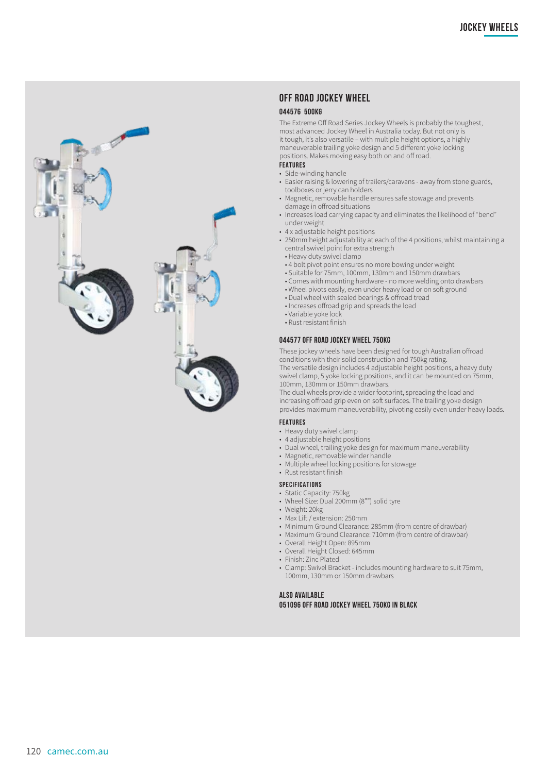

#### **OFF ROAD JOCKEY WHEEL**

#### **044576 500KG**

The Extreme Off Road Series Jockey Wheels is probably the toughest, most advanced Jockey Wheel in Australia today . But not only is it tough, it's also versatile – with multiple height options, a highly maneuverable trailing yoke design and 5 different yoke locking positions . Makes moving easy both on and off road . **FEATURES**

- Side-winding handle
- Easier raising & lowering of trailers/caravans away from stone guards, toolboxes or jerry can holders
- Magnetic, removable handle ensures safe stowage and prevents damage in offroad situations
- Increases load carrying capacity and eliminates the likelihood of "bend" under weight
- 4 x adjustable height positions
- 250mm height adjustability at each of the 4 positions, whilst maintaining a central swivel point for extra strength
	- Heavy duty swivel clamp
	- 4 bolt pivot point ensures no more bowing under weight
	- Suitable for 75mm, 100mm, 130mm and 150mm drawbars
	- Comes with mounting hardware no more welding onto drawbars
	- Wheel pivots easily, even under heavy load or on soft ground
	- Dual wheel with sealed bearings & offroad tread
	- Increases offroad grip and spreads the load
	- Variable yoke lock
- Rust resistant finish

#### **044577 OFF ROAD JOCKEY WHEEL 750KG**

These jockey wheels have been designed for tough Australian offroad conditions with their solid construction and 750kg rating . The versatile design includes 4 adjustable height positions, a heavy duty swivel clamp, 5 yoke locking positions, and it can be mounted on 75mm, 100mm, 130mm or 150mm drawbars .

The dual wheels provide a wider footprint, spreading the load and increasing offroad grip even on soft surfaces . The trailing yoke design provides maximum maneuverability, pivoting easily even under heavy loads .

#### **FEATURES**

- Heavy duty swivel clamp
- 4 adjustable height positions
- Dual wheel, trailing yoke design for maximum maneuverability
- Magnetic, removable winder handle
- Multiple wheel locking positions for stowage
- Rust resistant finish

#### **SPECIFICATIONS**

- Static Capacity: 750kg
- Wheel Size: Dual 200mm (8"") solid tyre
- Weight: 20kg
- Max Lift / extension: 250mm
- Minimum Ground Clearance: 285mm (from centre of drawbar)
- Maximum Ground Clearance: 710mm (from centre of drawbar)
- Overall Height Open: 895mm
- Overall Height Closed: 645mm
- Finish: Zinc Plated
- Clamp: Swivel Bracket includes mounting hardware to suit 75mm, 100mm, 130mm or 150mm drawbars

#### **ALSO AVAILABLE 051096 OFF ROAD JOCKEY WHEEL 750KG IN BLACK**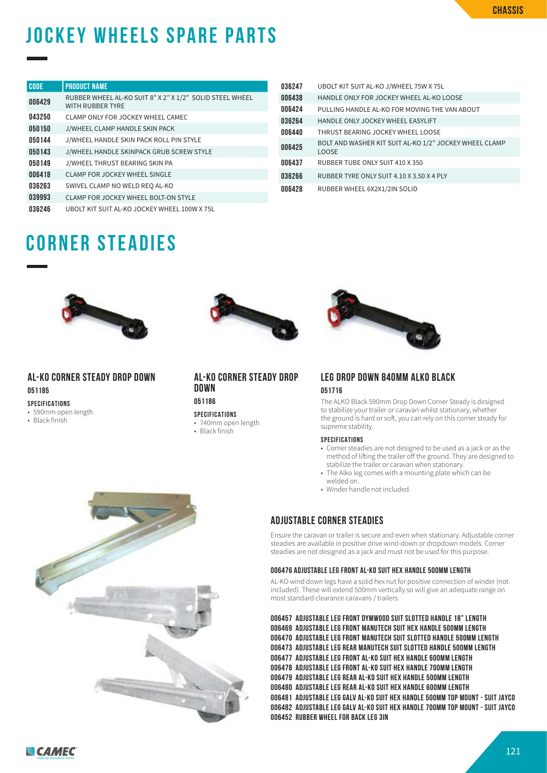# **jockey wheels spare parts**

| <b>CODE</b> | <b>PRODUCT NAME</b>                                                          |
|-------------|------------------------------------------------------------------------------|
| 006429      | RUBBER WHEEL AL-KO SUIT 8" X 2" X 1/2" SOLID STEEL WHEEL<br>WITH RUBBER TYRE |
| 043250      | CLAMP ONLY FOR JOCKEY WHEEL CAMEC                                            |
| 050150      | J/WHEEL CLAMP HANDLE SKIN PACK                                               |
| 050144      | J/WHEEL HANDLE SKIN PACK ROLL PIN STYLE                                      |
| 050143      | J/WHEEL HANDLE SKINPACK GRUB SCREW STYLE                                     |
| 050149      | J/WHEEL THRUST BEARING SKIN PA                                               |
| 006418      | CLAMP FOR JOCKEY WHEEL SINGLE                                                |
| 036263      | SWIVEL CLAMP NO WELD REO AL-KO                                               |
| 039993      | CLAMP FOR JOCKEY WHEEL BOLT-ON STYLE                                         |
| 036246      | UBOLT KIT SUIT AL-KO JOCKEY WHEEL 100W X 75L                                 |

| 036247 | UBOLT KIT SUIT AL-KO J/WHEEL 75W X 75L                                 |
|--------|------------------------------------------------------------------------|
| 006438 | HANDLE ONLY FOR JOCKEY WHEEL AL-KO LOOSE                               |
| 006424 | PULLING HANDLE AL-KO FOR MOVING THE VAN ABOUT                          |
| 036264 | HANDLE ONLY JOCKEY WHEEL EASYLIFT                                      |
| 006440 | THRUST BEARING JOCKEY WHEEL LOOSE                                      |
| 006425 | BOLT AND WASHER KIT SUIT AL-KO 1/2" JOCKEY WHEEL CLAMP<br><b>LOOSE</b> |
| 006437 | RUBBER TUBE ONLY SUIT 410 X 350                                        |
| 036266 | RUBBER TYRE ONLY SUIT 4.10 X 3.50 X 4 PLY                              |
| 006428 | RUBBER WHEEL 6X2X1/2IN SOLID                                           |

### **corner steadies**



#### **AL-KO CORNER STEADY DROP DOWN 051185**

#### **SPECIFICATIONS**

- 590mm open length
- Black finish





#### **AL-KO CORNER STEADY DROP DOWN 051186**

#### **SPECIFICATIONS**

- 740mm open length
- Black finish

#### **LEG DROP DOWN 840MM ALKO BLACK 051716**

The ALKO Black 590mm Drop Down Corner Steady is designed to stabilize your trailer or caravan whilst stationary, whether the ground is hard or soft, you can rely on this corner steady for supreme stability.

#### **SPECIFICATIONS**

- Corner steadies are not designed to be used as a jack or as the method of lifting the trailer off the ground. They are designed to stabilize the trailer or caravan when stationary.
- The Alko leg comes with a mounting plate which can be welded on.
- Winder handle not included.

#### **ADJUSTABLE CORNER STEADIES**

Ensure the caravan or trailer is secure and even when stationary. Adjustable corner steadies are available in positive drive wind-down or dropdown models. Corner steadies are not designed as a jack and must not be used for this purpose.

#### **006476 ADJUSTABLE LEG FRONT AL-KO SUIT HEX HANDLE 500MM LENGTH**

AL-KO wind down legs have a solid hex nut for positive connection of winder (not included). These will extend 500mm vertically so will give an adequate range on most standard clearance caravans / trailers.

**006457 ADJUSTABLE LEG FRONT DYMWOOD SUIT SLOTTED HANDLE 18" LENGTH 006469 ADJUSTABLE LEG FRONT MANUTECH SUIT HEX HANDLE 500MM LENGTH 006470 ADJUSTABLE LEG FRONT MANUTECH SUIT SLOTTED HANDLE 500MM LENGTH 006473 ADJUSTABLE LEG REAR MANUTECH SUIT SLOTTED HANDLE 500MM LENGTH 006477 ADJUSTABLE LEG FRONT AL-KO SUIT HEX HANDLE 600MM LENGTH 006478 ADJUSTABLE LEG FRONT AL-KO SUIT HEX HANDLE 700MM LENGTH 006479 ADJUSTABLE LEG REAR AL-KO SUIT HEX HANDLE 500MM LENGTH 006480 ADJUSTABLE LEG REAR AL-KO SUIT HEX HANDLE 600MM LENGTH 006481 ADJUSTABLE LEG GALV AL-KO SUIT HEX HANDLE 500MM TOP MOUNT - SUIT JAYCO 006482 ADJUSTABLE LEG GALV AL-KO SUIT HEX HANDLE 700MM TOP MOUNT - SUIT JAYCO 006452 RUBBER WHEEL FOR BACK LEG 3IN**

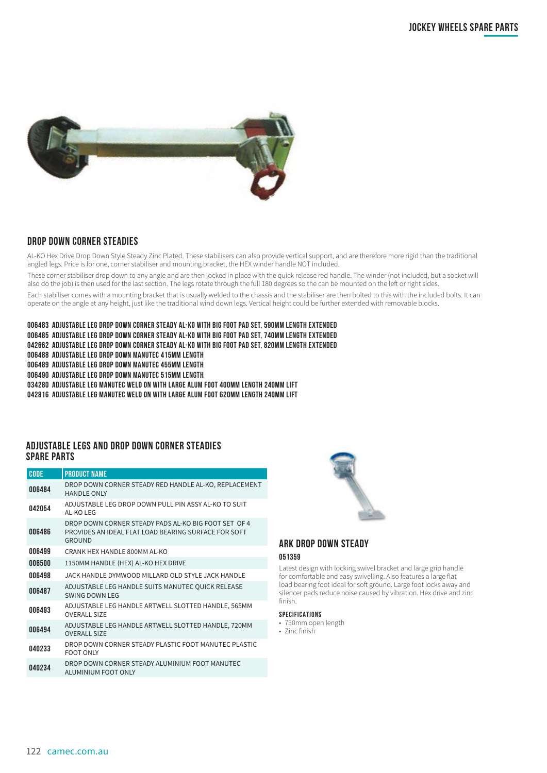

#### **DROP DOWN CORNER STEADIES**

AL-KO Hex Drive Drop Down Style Steady Zinc Plated. These stabilisers can also provide vertical support, and are therefore more rigid than the traditional angled legs. Price is for one, corner stabiliser and mounting bracket, the HEX winder handle NOT included.

These corner stabiliser drop down to any angle and are then locked in place with the quick release red handle. The winder (not included, but a socket will also do the job) is then used for the last section. The legs rotate through the full 180 degrees so the can be mounted on the left or right sides.

Each stabiliser comes with a mounting bracket that is usually welded to the chassis and the stabiliser are then bolted to this with the included bolts. It can operate on the angle at any height, just like the traditional wind down legs. Vertical height could be further extended with removable blocks.

#### **006483 ADJUSTABLE LEG DROP DOWN CORNER STEADY AL-KO WITH BIG FOOT PAD SET, 590MM LENGTH EXTENDED**

- **006485 ADJUSTABLE LEG DROP DOWN CORNER STEADY AL-KO WITH BIG FOOT PAD SET, 740MM LENGTH EXTENDED**
- **042662 ADJUSTABLE LEG DROP DOWN CORNER STEADY AL-KO WITH BIG FOOT PAD SET, 820MM LENGTH EXTENDED**
- **006488 ADJUSTABLE LEG DROP DOWN MANUTEC 415MM LENGTH**
- **006489 ADJUSTABLE LEG DROP DOWN MANUTEC 455MM LENGTH**
- **006490 ADJUSTABLE LEG DROP DOWN MANUTEC 515MM LENGTH**
- **034280 ADJUSTABLE LEG MANUTEC WELD ON WITH LARGE ALUM FOOT 400MM LENGTH 240MM LIFT**
- **042816 ADJUSTABLE LEG MANUTEC WELD ON WITH LARGE ALUM FOOT 620MM LENGTH 240MM LIFT**

#### **ADJUSTABLE LEGS AND DROP DOWN CORNER STEADIES SPARE PARTS**

| <b>CODE</b> | <b>PRODUCT NAME</b>                                                                                                           |
|-------------|-------------------------------------------------------------------------------------------------------------------------------|
| 006484      | DROP DOWN CORNER STEADY RED HANDLE AL-KO, REPLACEMENT<br><b>HANDLE ONLY</b>                                                   |
| 042054      | ADJUSTABLE LEG DROP DOWN PULL PIN ASSY AL-KO TO SUIT<br>AI-KO I FG                                                            |
| 006486      | DROP DOWN CORNER STEADY PADS AL-KO BIG FOOT SET OF 4<br>PROVIDES AN IDEAL FLAT LOAD BEARING SURFACE FOR SOFT<br><b>GROUND</b> |
| 006499      | CRANK HEX HANDI E 800MM AL-KO                                                                                                 |
| 006500      | 1150MM HANDLE (HEX) AL-KO HEX DRIVE                                                                                           |
| 006498      | JACK HANDLE DYMWOOD MILLARD OLD STYLE JACK HANDLE                                                                             |
| 006487      | ADJUSTABLE LEG HANDLE SUITS MANUTEC QUICK RELEASE<br>SWING DOWN LEG                                                           |
| 006493      | ADJUSTABLE LEG HANDLE ARTWELL SLOTTED HANDLE, 565MM<br><b>OVERALL SIZE</b>                                                    |
| 006494      | ADJUSTABLE LEG HANDLE ARTWELL SLOTTED HANDLE, 720MM<br><b>OVERALL SIZE</b>                                                    |
| 040233      | DROP DOWN CORNER STEADY PLASTIC FOOT MANUTEC PLASTIC<br><b>FOOT ONLY</b>                                                      |
| 040234      | DROP DOWN CORNER STEADY ALUMINIUM FOOT MANUTEC<br>ALUMINIUM FOOT ONLY                                                         |



#### **ARK DROP DOWN STEADY**

#### **051359**

Latest design with locking swivel bracket and large grip handle for comfortable and easy swivelling. Also features a large flat load bearing foot ideal for soft ground. Large foot locks away and silencer pads reduce noise caused by vibration. Hex drive and zinc finish.

#### **SPECIFICATIONS**

- 750mm open length
- Zinc finish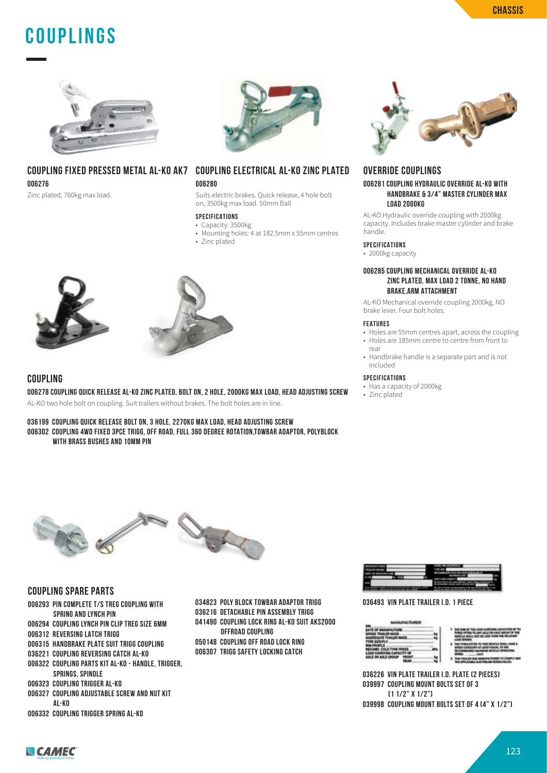### **COUPLINGS**



#### **COUPLING FIXED PRESSED METAL AL-KO AK7 COUPLING ELECTRICAL AL-KO ZINC PLATED 006276**

Zinc plated, 760kg max load.



#### **006280**

Suits electric brakes. Quick release, 4 hole bolt on, 3500kg max load. 50mm Ball

#### **SPECIFICATIONS**

- Capacity: 3500kg
- Mounting holes: 4 at 182.5mm x 55mm centres
- Zinc plated





#### **COUPLING**

**006278 COUPLING QUICK RELEASE AL-KO ZINC PLATED, BOLT ON, 2 HOLE, 2000KG MAX LOAD, HEAD ADJUSTING SCREW** AL-KO two hole bolt on coupling. Suit trailers without brakes. The bolt holes are in line.

**036199 COUPLING QUICK RELEASE BOLT ON, 3 HOLE, 2270KG MAX LOAD, HEAD ADJUSTING SCREW 006302 COUPLING 4WD FIXED 3PCE TRIGG, OFF ROAD, FULL 360 DEGREE ROTATION,TOWBAR ADAPTOR, POLYBLOCK WITH BRASS BUSHES AND 10MM PIN**



#### **OVERRIDE COUPLINGS**

#### **006281 COUPLING HYDRAULIC OVERRIDE AL-KO WITH HANDBRAKE & 3/4" MASTER CYLINDER MAX LOAD 2000KG**

AL-KO Hydraulic override coupling with 2000kg capacity. Includes brake master cylinder and brake handle.

#### **SPECIFICATIONS**

• 2000kg capacity

#### **006285 COUPLING MECHANICAL OVERRIDE AL-KO ZINC PLATED, MAX LOAD 2 TONNE, NO HAND BRAKE,ARM ATTACHMENT**

AL-KO Mechanical override coupling 2000kg, NO brake lever. Four bolt holes.

#### **FEATURES**

- Holes are 55mm centres apart, across the coupling • Holes are 185mm centre to centre from front to
- rear
- Handbrake handle is a separate part and is not included

#### **SPECIFICATIONS**

- Has a capacity of 2000kg
- Zinc plated



#### **COUPLING SPARE PARTS**

- **006293 PIN COMPLETE T/S TREG COUPLING WITH SPRING AND LYNCH PIN**
- **006294 COUPLING LYNCH PIN CLIP TREG SIZE 6MM**
- **006312 REVERSING LATCH TRIGG**
- **006315 HANDBRAKE PLATE SUIT TRIGG COUPLING**
- **036221 COUPLING REVERSING CATCH AL-KO**
- **006322 COUPLING PARTS KIT AL-KO HANDLE, TRIGGER,**
- **SPRINGS, SPINDLE**
- **006323 COUPLING TRIGGER AL-KO**
- **006327 COUPLING ADJUSTABLE SCREW AND NUT KIT AL-KO**
- **006332 COUPLING TRIGGER SPRING AL-KO**
- **034823 POLY BLOCK TOWBAR ADAPTOR TRIGG 036216 DETACHABLE PIN ASSEMBLY TRIGG 041490 COUPLING LOCK RING AL-KO SUIT AKS2000 OFFROAD COUPLING**
- **050148 COUPLING OFF ROAD LOCK RING 006307 TRIGG SAFETY LOCKING CATCH**



#### **036493 VIN PLATE TRAILER I.D. 1 PIECE**



**036226 VIN PLATE TRAILER I.D. PLATE (2 PIECES) 039997 COUPLING MOUNT BOLTS SET OF 3 (1 1/2" X 1/2")**

**039998 COUPLING MOUNT BOLTS SET OF 4 (4" X 1/2")**

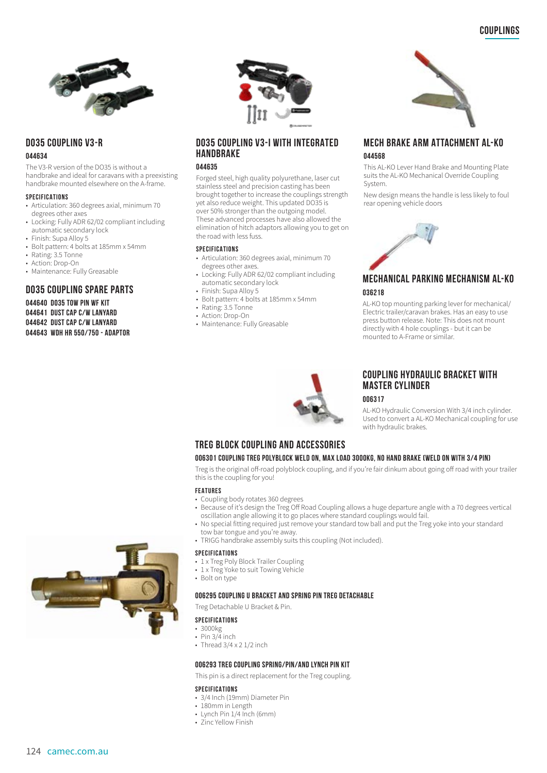

#### **D035 COUPLING V3-R**

#### **044634**

The V3-R version of the DO35 is without a handbrake and ideal for caravans with a preexisting handbrake mounted elsewhere on the A-frame.

#### **SPECIFICATIONS**

- Articulation: 360 degrees axial, minimum 70 degrees other axes
- Locking: Fully ADR 62/02 compliant including automatic secondary lock
- Finish: Supa Alloy 5
- Bolt pattern: 4 bolts at 185mm x 54mm<br>• Rating: 3.5 Tonne
- Rating: 3.5 Tonne
- Action: Drop-On
- Maintenance: Fully Greasable

#### **DO35 COUPLING SPARE PARTS**

**044640 DO35 TOW PIN WF KIT 044641 DUST CAP C/W LANYARD 044642 DUST CAP C/W LANYARD 044643 WDH HR 550/750 - ADAPTOR**



#### **DO35 COUPLING V3-I WITH INTEGRATED HANDBRAKE**

#### **044635**

Forged steel, high quality polyurethane, laser cut stainless steel and precision casting has been brought together to increase the couplings strength yet also reduce weight. This updated DO35 is over 50% stronger than the outgoing model. These advanced processes have also allowed the elimination of hitch adaptors allowing you to get on the road with less fuss.

#### **SPECIFICATIONS**

- Articulation: 360 degrees axial, minimum 70 degrees other axes.
- Locking: Fully ADR 62/02 compliant including automatic secondary lock
- Finish: Supa Alloy 5
	- Bolt pattern: 4 bolts at 185mm x 54mm
	- Rating: 3.5 Tonne • Action: Drop-On
	- Maintenance: Fully Greasable



Electric trailer/caravan brakes. Has an easy to use press button release. Note: This does not mount directly with 4 hole couplings - but it can be mounted to A-Frame or similar.

**MECH BRAKE ARM ATTACHMENT AL-KO**

This AL-KO Lever Hand Brake and Mounting Plate suits the AL-KO Mechanical Override Coupling

New design means the handle is less likely to foul



#### **COUPLING HYDRAULIC BRACKET WITH MASTER CYLINDER**

**006317**

**044568**

System.

rear opening vehicle doors

AL-KO Hydraulic Conversion With 3/4 inch cylinder. Used to convert a AL-KO Mechanical coupling for use with hydraulic brakes.

#### **TREG BLOCK COUPLING AND ACCESSORIES**

#### **006301 COUPLING TREG POLYBLOCK WELD ON, MAX LOAD 3000KG, NO HAND BRAKE (WELD ON WITH 3/4 PIN)**

Treg is the original off-road polyblock coupling, and if you're fair dinkum about going off road with your trailer this is the coupling for you!

#### **FEATURES**

- Coupling body rotates 360 degrees
- Because of it's design the Treg Off Road Coupling allows a huge departure angle with a 70 degrees vertical oscillation angle allowing it to go places where standard couplings would fail.
- No special fitting required just remove your standard tow ball and put the Treg yoke into your standard tow bar tongue and you're away.
- TRIGG handbrake assembly suits this coupling (Not included).

#### **SPECIFICATIONS**

- 1 x Treg Poly Block Trailer Coupling
- 1 x Treg Yoke to suit Towing Vehicle
- Bolt on type

#### **006295 COUPLING U BRACKET AND SPRING PIN TREG DETACHABLE**

Treg Detachable U Bracket & Pin.

#### **SPECIFICATIONS**

- 3000kg
- $\cdot$  Pin 3/4 inch
- Thread 3/4 x 2 1/2 inch

#### **006293 TREG COUPLING SPRING/PIN/AND LYNCH PIN KIT**

This pin is a direct replacement for the Treg coupling.

#### **SPECIFICATIONS**

- 3/4 Inch (19mm) Diameter Pin
- 180mm in Length
- Lynch Pin 1/4 Inch (6mm)
- Zinc Yellow Finish

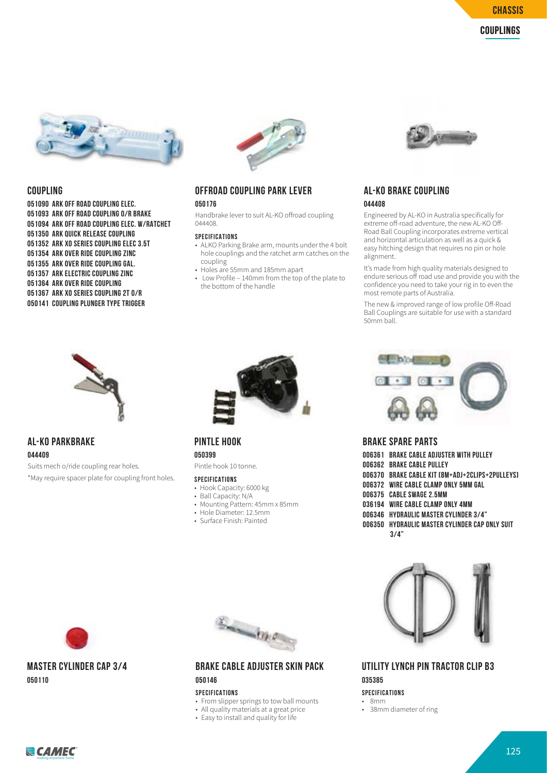

#### **COUPLING**

**051090 ARK OFF ROAD COUPLING ELEC. 051093 ARK OFF ROAD COUPLING O/R BRAKE 051094 ARK OFF ROAD COUPLING ELEC. W/RATCHET 051350 ARK QUICK RELEASE COUPLING 051352 ARK XO SERIES COUPLING ELEC 3.5T 051354 ARK OVER RIDE COUPLING ZINC 051355 ARK OVER RIDE COUPLING GAL. 051357 ARK ELECTRIC COUPLING ZINC 051364 ARK OVER RIDE COUPLING 051367 ARK XO SERIES COUPLING 2T O/R 050141 COUPLING PLUNGER TYPE TRIGGER** 



### **OFFROAD COUPLING PARK LEVER**

**050176**

Handbrake lever to suit AL-KO offroad coupling 044408.

#### **SPECIFICATIONS**

- ALKO Parking Brake arm, mounts under the 4 bolt hole couplings and the ratchet arm catches on the coupling
- Holes are 55mm and 185mm apart
- Low Profile 140mm from the top of the plate to the bottom of the handle



#### **AL-KO BRAKE COUPLING 044408**

Engineered by AL-KO in Australia specifically for extreme off-road adventure, the new AL-KO Off-Road Ball Coupling incorporates extreme vertical and horizontal articulation as well as a quick & easy hitching design that requires no pin or hole alignment.

It's made from high quality materials designed to endure serious off road use and provide you with the confidence you need to take your rig in to even the most remote parts of Australia.

The new & improved range of low profile Off-Road Ball Couplings are suitable for use with a standard 50mm ball.



#### **AL-KO PARKBRAKE 044409**

Suits mech o/ride coupling rear holes. \*May require spacer plate for coupling front holes.



#### **PINTLE HOOK**

**050399**

Pintle hook 10 tonne.

- **SPECIFICATIONS**
- Hook Capacity: 6000 kg
- Ball Capacity: N/A
- Mounting Pattern: 45mm x 85mm
- Hole Diameter: 12.5mm
- Surface Finish: Painted



#### **MASTER CYLINDER CAP 3/4 050110**



#### **BRAKE CABLE ADJUSTER SKIN PACK 050146**

#### **SPECIFICATIONS**

- From slipper springs to tow ball mounts
- All quality materials at a great price
- Easy to install and quality for life



#### **BRAKE SPARE PARTS**

| 006361 BRAKE CABLE ADJUSTER WITH PULLEY         |
|-------------------------------------------------|
| 006362 BRAKE CABLE PULLEY                       |
| OO6370 BRAKE CABLE KIT (8M+ADJ+2CLIPS+2PULLEYS) |
| 006372 WIRE CABLE CLAMP ONLY 5MM GAL            |
| 006375 CABLE SWAGE 2.5MM                        |
| 036194 WIRE CABLE CLAMP ONLY 4MM                |
| 006346 HYDRAULIC MASTER CYLINDER 3/4"           |
| 006350 HYDRAULIC MASTER CYLINDER CAP ONLY SUIT  |
| 3/4"                                            |
|                                                 |



#### **UTILITY LYNCH PIN TRACTOR CLIP B3 035385**

#### **SPECIFICATIONS**

- 8mm
- 38mm diameter of ring

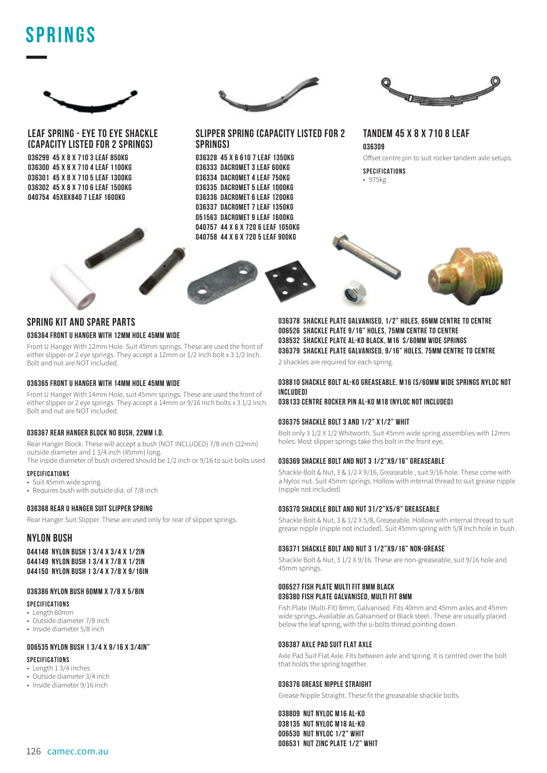### **SPRINGS**



**LEAF SPRING - EYE TO EYE SHACKLE (CAPACITY LISTED FOR 2 SPRINGS)**

**036299 45 X 8 X 710 3 LEAF 850KG 036300 45 X 8 X 710 4 LEAF 1100KG 036301 45 X 8 X 710 5 LEAF 1300KG 036302 45 X 8 X 710 6 LEAF 1500KG 040754 45X8X840 7 LEAF 1600KG**



**SLIPPER SPRING (CAPACITY LISTED FOR 2 SPRINGS)**

**036328 45 X 6 610 7 LEAF 1350KG 036333 DACROMET 3 LEAF 600KG 036334 DACROMET 4 LEAF 750KG 036335 DACROMET 5 LEAF 1000KG 036336 DACROMET 6 LEAF 1200KG 036337 DACROMET 7 LEAF 1350KG 051563 DACROMET 9 LEAF 1600KG 040757 44 X 6 X 720 6 LEAF 1050KG 040758 44 X 6 X 720 5 LEAF 900KG**



**TANDEM 45 X 8 X 710 8 LEAF 036309** Offset centre pin to suit rocker tandem axle setups.

**SPECIFICATIONS** • 975kg



#### **SPRING KIT AND SPARE PARTS 036364 FRONT U HANGER WITH 12MM HOLE 45MM WIDE**

Front U Hanger With 12mm Hole. Suit 45mm springs. These are used the front of either slipper or 2 eye springs. They accept a 12mm or 1/2 Inch bolt x 3 1/2 Inch. Bolt and nut are NOT included.

#### **036365 FRONT U HANGER WITH 14MM HOLE 45MM WIDE**

Front U Hanger With 14mm Hole, suit 45mm springs. These are used the front of either slipper or 2 eye springs. They accept a 14mm or 9/16 Inch bolts x 3 1/2 Inch. Bolt and nut are NOT included.

#### **036367 REAR HANGER BLOCK NO BUSH, 22MM I.D.**

Rear Hanger Block. These will accept a bush (NOT INCLUDED) 7/8 inch (22mm) outside diameter and 1 3/4 inch (45mm) long. The inside diameter of bush ordered should be 1/2 inch or 9/16 to suit bolts used.

#### **SPECIFICATIONS**

- Suit 45mm wide spring
- Requires bush with outside dia of 7/8 inch

#### **036368 REAR U HANGER SUIT SLIPPER SPRING**

Rear Hanger Suit Slipper. These are used only for rear of slipper springs.

#### **NYLON BUSH**

**044148 NYLON BUSH 1 3/4 X 3/4 X 1/2IN 044149 NYLON BUSH 1 3/4 X 7/8 X 1/2IN 044150 NYLON BUSH 1 3/4 X 7/8 X 9/16IN**

#### **036386 NYLON BUSH 60MM X 7/8 X 5/8IN**

#### **SPECIFICATIONS**

- Length 60mm
- Outside diameter 7/8 inch
- Inside diameter 5/8 inch

#### **006535 NYLON BUSH 1 3/4 X 9/16 X 3/4IN"**

#### **SPECIFICATIONS**

- Length 1 3/4 inches
- Outside diameter 3/4 inch
- Inside diameter 9/16 inch

**036378 SHACKLE PLATE GALVANISED, 1/2" HOLES, 65MM CENTRE TO CENTRE 006526 SHACKLE PLATE 9/16" HOLES, 75MM CENTRE TO CENTRE 038532 SHACKLE PLATE AL-KO BLACK, M16 S/60MM WIDE SPRINGS 036379 SHACKLE PLATE GALVANISED, 9/16" HOLES, 75MM CENTRE TO CENTRE**

2 shackles are required for each spring.

#### **038810 SHACKLE BOLT AL-KO GREASEABLE, M16 (S/60MM WIDE SPRINGS NYLOC NOT INCLUDED)**

#### **038133 CENTRE ROCKER PIN AL-KO M18 (NYLOC NOT INCLUDED)**

#### **036375 SHACKLE BOLT 3 AND 1/2" X1/2" WHIT**

Bolt only 3 1/2 X 1/2 Whitworth. Suit 45mm wide spring assemblies with 12mm holes. Most slipper springs take this bolt in the front eye.

#### **036369 SHACKLE BOLT AND NUT 3 1/2"X9/16" GREASEABLE**

Shackle Bolt & Nut, 3 & 1/2 X 9/16, Greaseable , suit 9/16 hole. These come with a Nyloc nut. Suit 45mm springs. Hollow with internal thread to suit grease nipple (nipple not included)

#### **036370 SHACKLE BOLT AND NUT 31/2"X5/8" GREASEABLE**

Shackle Bolt & Nut, 3 & 1/2 X 5/8, Greaseable. Hollow with internal thread to suit grease nipple (nipple not included). Suit 45mm spring with 5/8 Inch hole in bush.

#### **036371 SHACKLE BOLT AND NUT 3 1/2"X9/16" NON-GREASE**

Shackle Bolt & Nut, 3 1/2 X 9/16. These are non-greaseable, suit 9/16 hole and 45mm springs.

#### **006527 FISH PLATE MULTI FIT 8MM BLACK 036380 FISH PLATE GALVANISED, MULTI FIT 8MM**

Fish Plate (Multi-Fit) 8mm, Galvanised. Fits 40mm and 45mm axles and 45mm wide springs. Available as Galvanised or Black steel . These are usually placed below the leaf spring, with the u-bolts thread pointing down.

#### **036387 AXLE PAD SUIT FLAT AXLE**

Axle Pad Suit Flat Axle. Fits between axle and spring. It is centred over the bolt that holds the spring together.

#### **036376 GREASE NIPPLE STRAIGHT**

Grease Nipple Straight. These fit the greaseable shackle bolts

**038809 NUT NYLOC M16 AL-KO 038135 NUT NYLOC M18 AL-KO 006530 NUT NYLOC 1/2" WHIT 006531 NUT ZINC PLATE 1/2" WHIT**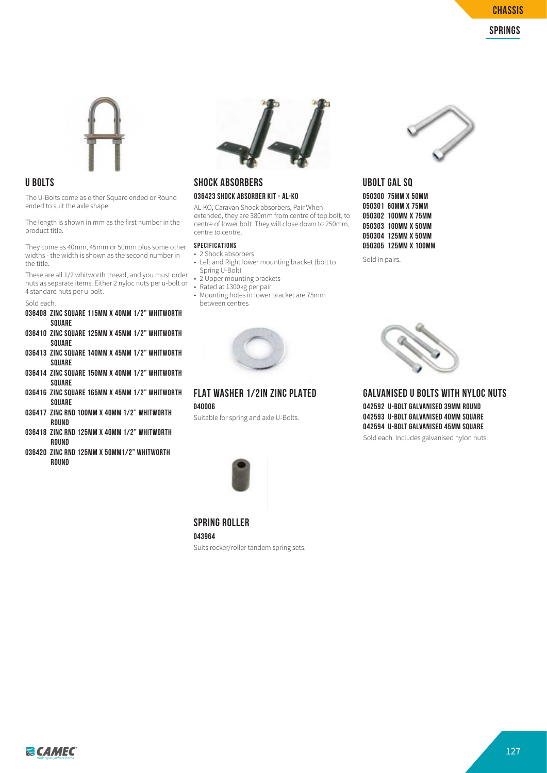



#### **U BOLTS**

The U-Bolts come as either Square ended or Round ended to suit the axle shape.

The length is shown in mm as the first number in the product title.

They come as 40mm, 45mm or 50mm plus some other widths - the width is shown as the second number in the title.

These are all 1/2 whitworth thread, and you must order nuts as separate items. Either 2 nyloc nuts per u-bolt or 4 standard nuts per u-bolt.

#### Sold each.

- **036408 ZINC SQUARE 115MM X 40MM 1/2" WHITWORTH SQUARE**
- **036410 ZINC SQUARE 125MM X 45MM 1/2" WHITWORTH SQUARE**
- **036413 ZINC SQUARE 140MM X 45MM 1/2" WHITWORTH SQUARE**
- **036414 ZINC SQUARE 150MM X 40MM 1/2" WHITWORTH SQUARE**
- **036416 ZINC SQUARE 165MM X 45MM 1/2" WHITWORTH SQUARE**
- **036417 ZINC RND 100MM X 40MM 1/2" WHITWORTH ROUND**
- **036418 ZINC RND 125MM X 40MM 1/2" WHITWORTH ROUND**
- **036420 ZINC RND 125MM X 50MM1/2" WHITWORTH ROUND**



#### **SHOCK ABSORBERS 036423 SHOCK ABSORBER KIT - AL-KO**

AL-KO, Caravan Shock absorbers, Pair When extended, they are 380mm from centre of top bolt, to centre of lower bolt. They will close down to 250mm, centre to centre.

#### **SPECIFICATIONS**

- 2 Shock absorbers • Left and Right lower mounting bracket (bolt to Spring U-Bolt)
- 2 Upper mounting brackets
- Z Upper moderning<br>• Rated at 1300kg per pair
- Mounting holes in lower bracket are 75mm between centres



**FLAT WASHER 1/2IN ZINC PLATED 040006**

Suitable for spring and axle U-Bolts.



#### **UBOLT GAL SQ 050300 75MM X 50MM 050301 60MM X 75MM 050302 100MM X 75MM 050303 100MM X 50MM 050304 125MM X 50MM 050305 125MM X 100MM**

Sold in pairs.



#### **GALVANISED U BOLTS WITH NYLOC NUTS 042592 U-BOLT GALVANISED 39MM ROUND 042593 U-BOLT GALVANISED 40MM SQUARE 042594 U-BOLT GALVANISED 45MM SQUARE**

Sold each. Includes galvanised nylon nuts.



#### **043964**

Suits rocker/roller tandem spring sets.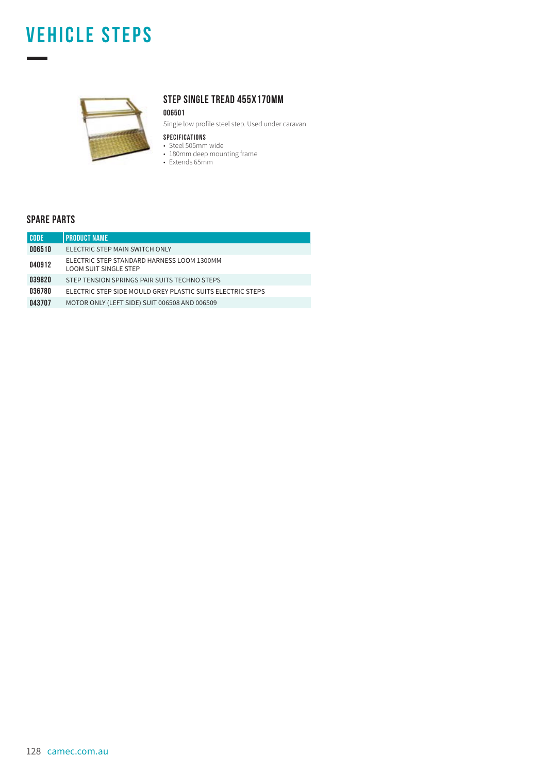### **vehicle steps**



#### **STEP SINGLE TREAD 455X170MM**

#### **006501**

Single low profile steel step. Used under caravan

- **SPECIFICATIONS**
- Steel 505mm wide • 180mm deep mounting frame
- Extends 65mm

#### **SPARE PARTS**

÷

| <b>CODE</b> | <b>PRODUCT NAME</b>                                                        |
|-------------|----------------------------------------------------------------------------|
| 006510      | ELECTRIC STEP MAIN SWITCH ONLY                                             |
| 040912      | ELECTRIC STEP STANDARD HARNESS LOOM 1300MM<br><b>LOOM SUIT SINGLE STEP</b> |
| 039820      | STEP TENSION SPRINGS PAIR SUITS TECHNO STEPS                               |
| 036780      | ELECTRIC STEP SIDE MOULD GREY PLASTIC SUITS ELECTRIC STEPS                 |
| 043707      | MOTOR ONLY (LEFT SIDE) SUIT 006508 AND 006509                              |